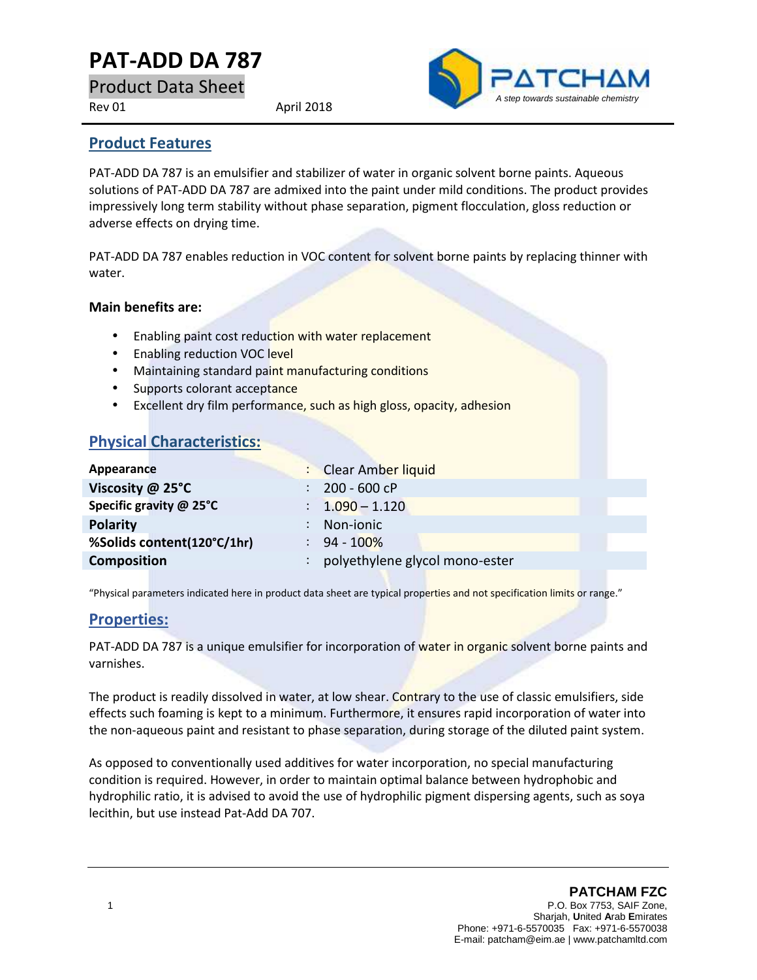# **PAT-ADD DA 787**

Product Data Sheet

Rev 01 April 2018



#### **Product Features**

PAT-ADD DA 787 is an emulsifier and stabilizer of water in organic solvent borne paints. Aqueous solutions of PAT-ADD DA 787 are admixed into the paint under mild conditions. The product provides impressively long term stability without phase separation, pigment flocculation, gloss reduction or adverse effects on drying time.

PAT-ADD DA 787 enables reduction in VOC content for solvent borne paints by replacing thinner with water.

#### **Main benefits are:**

- Enabling paint cost reduction with water replacement
- Enabling reduction VOC level
- Maintaining standard paint manufacturing conditions
- Supports colorant acceptance
- Excellent dry film performance, such as high gloss, opacity, adhesion

## **Physical Characteristics:**

| Appearance                 |                      | : Clear Amber liquid           |  |
|----------------------------|----------------------|--------------------------------|--|
| Viscosity @ 25°C           | $\mathbb{R}^n$       | 200 - 600 cP                   |  |
| Specific gravity @ 25°C    |                      | $\therefore$ 1.090 - 1.120     |  |
| <b>Polarity</b>            |                      | Non-ionic                      |  |
| %Solids content(120°C/1hr) |                      | $: 94 - 100\%$                 |  |
| <b>Composition</b>         | $\ddot{\phantom{a}}$ | polyethylene glycol mono-ester |  |

"Physical parameters indicated here in product data sheet are typical properties and not specification limits or range."

#### **Properties:**

PAT-ADD DA 787 is a unique emulsifier for incorporation of water in organic solvent borne paints and varnishes.

The product is readily dissolved in water, at low shear. Contrary to the use of classic emulsifiers, side effects such foaming is kept to a minimum. Furthermore, it ensures rapid incorporation of water into the non-aqueous paint and resistant to phase separation, during storage of the diluted paint system.

As opposed to conventionally used additives for water incorporation, no special manufacturing condition is required. However, in order to maintain optimal balance between hydrophobic and hydrophilic ratio, it is advised to avoid the use of hydrophilic pigment dispersing agents, such as soya lecithin, but use instead Pat-Add DA 707.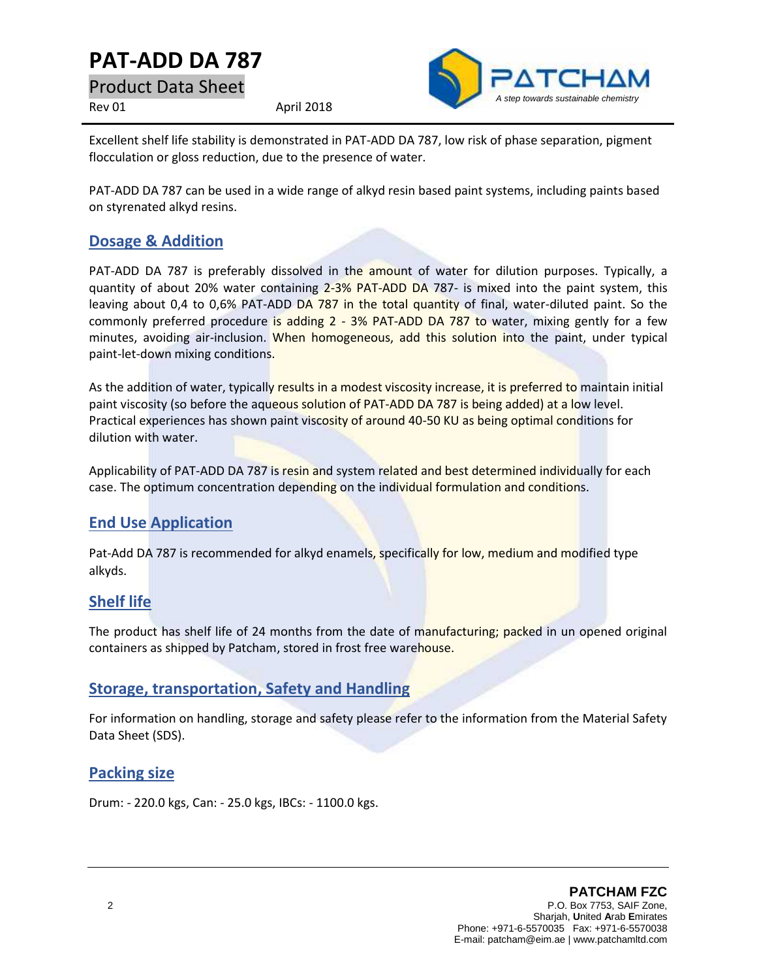# **PAT-ADD DA 787**

Product Data Sheet

Rev 01 April 2018



Excellent shelf life stability is demonstrated in PAT-ADD DA 787, low risk of phase separation, pigment flocculation or gloss reduction, due to the presence of water.

PAT-ADD DA 787 can be used in a wide range of alkyd resin based paint systems, including paints based on styrenated alkyd resins.

### **Dosage & Addition**

PAT-ADD DA 787 is preferably dissolved in the amount of water for dilution purposes. Typically, a quantity of about 20% water containing 2-3% PAT-ADD DA 787- is mixed into the paint system, this leaving about 0,4 to 0,6% PAT-ADD DA 787 in the total quantity of final, water-diluted paint. So the commonly preferred procedure is adding  $2 - 3%$  PAT-ADD DA 787 to water, mixing gently for a few minutes, avoiding air-inclusion. When homogeneous, add this solution into the paint, under typical paint-let-down mixing conditions.

As the addition of water, typically results in a modest viscosity increase, it is preferred to maintain initial paint viscosity (so before the aqueous solution of PAT-ADD DA 787 is being added) at a low level. Practical experiences has shown paint viscosity of around 40-50 KU as being optimal conditions for dilution with water.

Applicability of PAT-ADD DA 787 is resin and system related and best determined individually for each case. The optimum concentration depending on the individual formulation and conditions.

## **End Use Application**

Pat-Add DA 787 is recommended for alkyd enamels, specifically for low, medium and modified type alkyds.

### **Shelf life**

The product has shelf life of 24 months from the date of manufacturing; packed in un opened original containers as shipped by Patcham, stored in frost free warehouse.

### **Storage, transportation, Safety and Handling**

For information on handling, storage and safety please refer to the information from the Material Safety Data Sheet (SDS).

#### **Packing size**

Drum: - 220.0 kgs, Can: - 25.0 kgs, IBCs: - 1100.0 kgs.